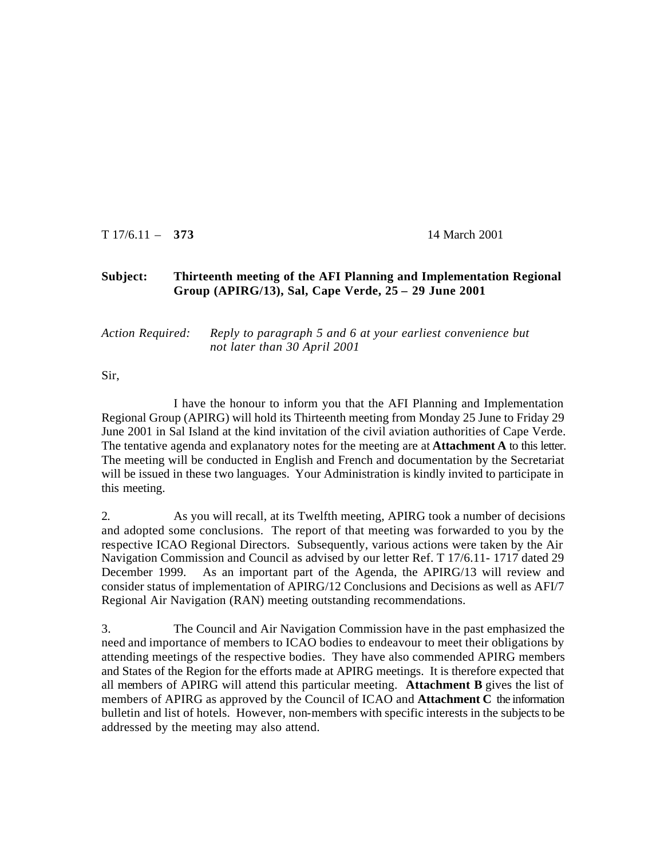T 17/6.11 – **373** 14 March 2001

## **Subject: Thirteenth meeting of the AFI Planning and Implementation Regional Group (APIRG/13), Sal, Cape Verde, 25 – 29 June 2001**

## *Action Required: Reply to paragraph 5 and 6 at your earliest convenience but not later than 30 April 2001*

Sir,

I have the honour to inform you that the AFI Planning and Implementation Regional Group (APIRG) will hold its Thirteenth meeting from Monday 25 June to Friday 29 June 2001 in Sal Island at the kind invitation of the civil aviation authorities of Cape Verde. The tentative agenda and explanatory notes for the meeting are at **Attachment A** to this letter. The meeting will be conducted in English and French and documentation by the Secretariat will be issued in these two languages. Your Administration is kindly invited to participate in this meeting.

2. As you will recall, at its Twelfth meeting, APIRG took a number of decisions and adopted some conclusions. The report of that meeting was forwarded to you by the respective ICAO Regional Directors. Subsequently, various actions were taken by the Air Navigation Commission and Council as advised by our letter Ref. T 17/6.11- 1717 dated 29 December 1999. As an important part of the Agenda, the APIRG/13 will review and consider status of implementation of APIRG/12 Conclusions and Decisions as well as AFI/7 Regional Air Navigation (RAN) meeting outstanding recommendations.

3. The Council and Air Navigation Commission have in the past emphasized the need and importance of members to ICAO bodies to endeavour to meet their obligations by attending meetings of the respective bodies. They have also commended APIRG members and States of the Region for the efforts made at APIRG meetings. It is therefore expected that all members of APIRG will attend this particular meeting. **Attachment B** gives the list of members of APIRG as approved by the Council of ICAO and **Attachment C** the information bulletin and list of hotels. However, non-members with specific interests in the subjects to be addressed by the meeting may also attend.